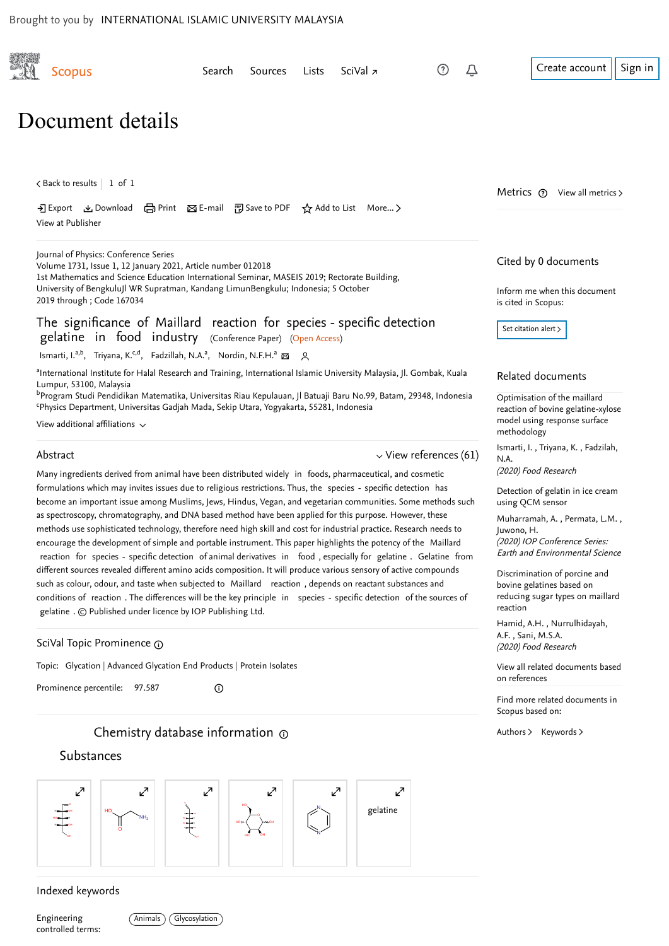| <b>Scopus</b>                                                                                                                                                                                                                                                                                                                                                                                                                                                        | Search | Sources | Lists | SciVal <sub>7</sub> | (?)                         | Û                    | Create account<br>Sign in                                                                                               |
|----------------------------------------------------------------------------------------------------------------------------------------------------------------------------------------------------------------------------------------------------------------------------------------------------------------------------------------------------------------------------------------------------------------------------------------------------------------------|--------|---------|-------|---------------------|-----------------------------|----------------------|-------------------------------------------------------------------------------------------------------------------------|
| Document details                                                                                                                                                                                                                                                                                                                                                                                                                                                     |        |         |       |                     |                             |                      |                                                                                                                         |
| $\lt$ Back to results   1 of 1                                                                                                                                                                                                                                                                                                                                                                                                                                       |        |         |       |                     |                             |                      | Metrics $(2)$ View all metrics $\ge$                                                                                    |
| • 3 Export & Download 금 Print ⊠ E-mail ဥ Save to PDF ☆ Add to List More ><br>View at Publisher                                                                                                                                                                                                                                                                                                                                                                       |        |         |       |                     |                             |                      |                                                                                                                         |
| Journal of Physics: Conference Series<br>Volume 1731, Issue 1, 12 January 2021, Article number 012018<br>1st Mathematics and Science Education International Seminar, MASEIS 2019; Rectorate Building,                                                                                                                                                                                                                                                               |        |         |       |                     |                             | Cited by 0 documents |                                                                                                                         |
| University of BengkuluJl WR Supratman, Kandang LimunBengkulu; Indonesia; 5 October<br>2019 through ; Code 167034                                                                                                                                                                                                                                                                                                                                                     |        |         |       |                     |                             |                      | Inform me when this document<br>is cited in Scopus:                                                                     |
| The significance of Maillard reaction for species - specific detection<br>gelatine in food industry (Conference Paper) (Open Access)                                                                                                                                                                                                                                                                                                                                 |        |         |       |                     |                             |                      | Set citation alert $\rightarrow$                                                                                        |
| Ismarti, I. <sup>a,b</sup> , Triyana, K. <sup>c,d</sup> , Fadzillah, N.A. <sup>a</sup> , Nordin, N.F.H. <sup>a</sup> & 2                                                                                                                                                                                                                                                                                                                                             |        |         |       |                     |                             |                      |                                                                                                                         |
| aInternational Institute for Halal Research and Training, International Islamic University Malaysia, Jl. Gombak, Kuala<br>Lumpur, 53100, Malaysia<br><sup>b</sup> Program Studi Pendidikan Matematika, Universitas Riau Kepulauan, Jl Batuaji Baru No.99, Batam, 29348, Indonesia<br><sup>c</sup> Physics Department, Universitas Gadjah Mada, Sekip Utara, Yogyakarta, 55281, Indonesia                                                                             |        |         |       |                     |                             |                      | Related documents<br>Optimisation of the maillard<br>reaction of bovine gelatine-xylose                                 |
| View additional affiliations $\sim$                                                                                                                                                                                                                                                                                                                                                                                                                                  |        |         |       |                     |                             |                      | model using response surface<br>methodology                                                                             |
| Abstract                                                                                                                                                                                                                                                                                                                                                                                                                                                             |        |         |       |                     | $\vee$ View references (61) |                      | Ismarti, I., Triyana, K., Fadzilah,<br>N.A.<br>(2020) Food Research                                                     |
| Many ingredients derived from animal have been distributed widely in foods, pharmaceutical, and cosmetic<br>formulations which may invites issues due to religious restrictions. Thus, the species - specific detection has<br>become an important issue among Muslims, Jews, Hindus, Vegan, and vegetarian communities. Some methods such                                                                                                                           |        |         |       |                     |                             |                      | Detection of gelatin in ice cream<br>using QCM sensor                                                                   |
| as spectroscopy, chromatography, and DNA based method have been applied for this purpose. However, these<br>methods use sophisticated technology, therefore need high skill and cost for industrial practice. Research needs to<br>encourage the development of simple and portable instrument. This paper highlights the potency of the Maillard<br>reaction for species - specific detection of animal derivatives in food, especially for gelatine. Gelatine from |        |         |       |                     |                             |                      | Muharramah, A., Permata, L.M.,<br>Juwono, H.<br>(2020) IOP Conference Series:<br><b>Earth and Environmental Science</b> |
| different sources revealed different amino acids composition. It will produce various sensory of active compounds<br>such as colour, odour, and taste when subjected to Maillard reaction, depends on reactant substances and<br>conditions of reaction. The differences will be the key principle in species - specific detection of the sources of<br>gelatine . $\odot$ Published under licence by IOP Publishing Ltd.                                            |        |         |       |                     |                             |                      | Discrimination of porcine and<br>bovine gelatines based on<br>reducing sugar types on maillard<br>reaction              |
| SciVal Topic Prominence @                                                                                                                                                                                                                                                                                                                                                                                                                                            |        |         |       |                     |                             |                      | Hamid, A.H., Nurrulhidayah,<br>A.F., Sani, M.S.A.<br>(2020) Food Research                                               |
| Topic: Glycation   Advanced Glycation End Products   Protein Isolates                                                                                                                                                                                                                                                                                                                                                                                                |        |         |       |                     |                             |                      | View all related documents based<br>on references                                                                       |
| Prominence percentile: 97.587                                                                                                                                                                                                                                                                                                                                                                                                                                        | ⊙      |         |       |                     |                             |                      | Find more related documents in<br>Scopus based on:                                                                      |
| Chemistry database information $\odot$                                                                                                                                                                                                                                                                                                                                                                                                                               |        |         |       |                     |                             |                      | Authors > Keywords >                                                                                                    |

## Substances



## Indexed keywords

Engineering controlled terms: